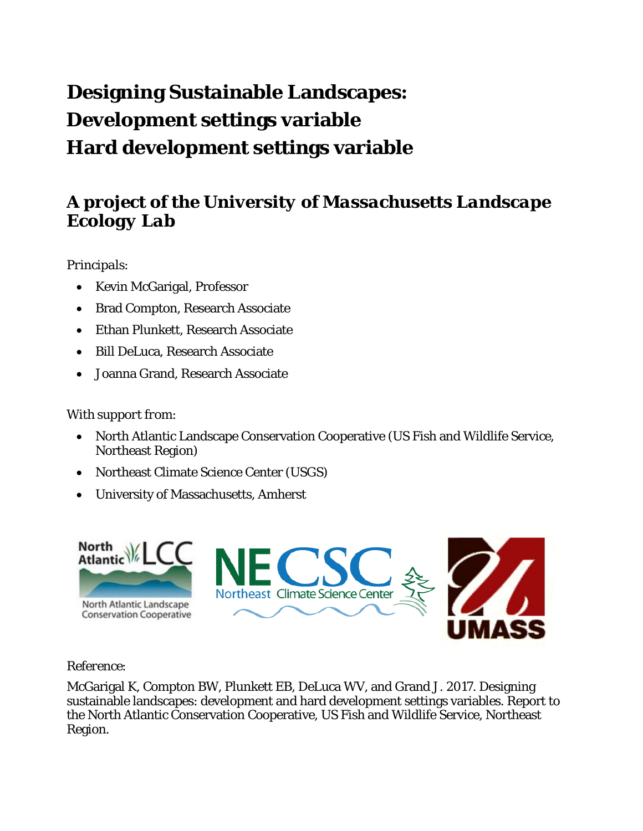# **Designing Sustainable Landscapes: Development settings variable Hard development settings variable**

### *A project of the University of Massachusetts Landscape Ecology Lab*

#### *Principals*:

- Kevin McGarigal, Professor
- Brad Compton, Research Associate
- Ethan Plunkett, Research Associate
- Bill DeLuca, Research Associate
- Joanna Grand, Research Associate

#### *With support from*:

- North Atlantic Landscape Conservation Cooperative (US Fish and Wildlife Service, Northeast Region)
- Northeast Climate Science Center (USGS)
- University of Massachusetts, Amherst



#### *Reference*:

McGarigal K, Compton BW, Plunkett EB, DeLuca WV, and Grand J. 2017. Designing sustainable landscapes: development and hard development settings variables. Report to the North Atlantic Conservation Cooperative, US Fish and Wildlife Service, Northeast Region.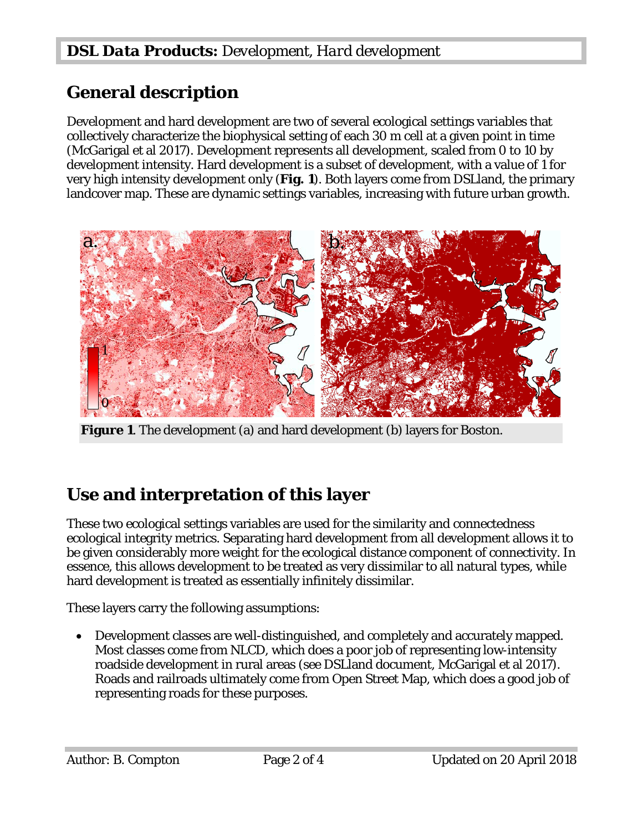### **General description**

Development and hard development are two of several ecological settings variables that collectively characterize the biophysical setting of each 30 m cell at a given point in time (McGarigal et al 2017). Development represents all development, scaled from 0 to 10 by development intensity. Hard development is a subset of development, with a value of 1 for very high intensity development only (**Fig. 1**). Both layers come from DSLland, the primary landcover map. These are dynamic settings variables, increasing with future urban growth.



**Figure 1.** The development (a) and hard development (b) layers for Boston.

## **Use and interpretation of this layer**

These two ecological settings variables are used for the similarity and connectedness ecological integrity metrics. Separating hard development from all development allows it to be given considerably more weight for the ecological distance component of connectivity. In essence, this allows development to be treated as very dissimilar to all natural types, while hard development is treated as essentially infinitely dissimilar.

These layers carry the following assumptions:

• Development classes are well-distinguished, and completely and accurately mapped. Most classes come from NLCD, which does a poor job of representing low-intensity roadside development in rural areas (see DSLland document, McGarigal et al 2017). Roads and railroads ultimately come from Open Street Map, which does a good job of representing roads for these purposes.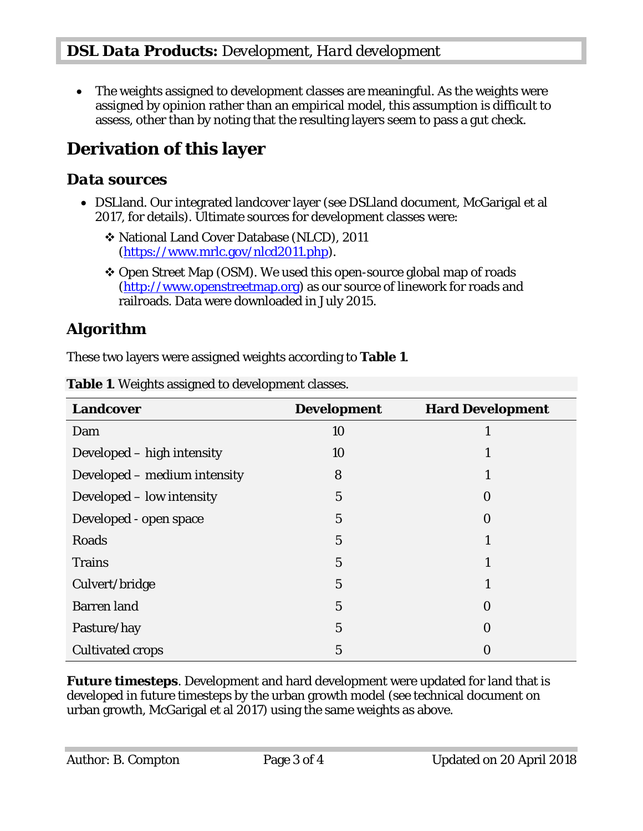• The weights assigned to development classes are meaningful. As the weights were assigned by opinion rather than an empirical model, this assumption is difficult to assess, other than by noting that the resulting layers seem to pass a gut check.

## **Derivation of this layer**

#### *Data sources*

- DSLland. Our integrated landcover layer (see DSLland document, McGarigal et al 2017, for details). Ultimate sources for development classes were:
	- National Land Cover Database (NLCD), 2011 [\(https://www.mrlc.gov/nlcd2011.php\)](https://www.mrlc.gov/nlcd2011.php).
	- Open Street Map (OSM). We used this open-source global map of roads [\(http://www.openstreetmap.org\)](http://www.openstreetmap.org/) as our source of linework for roads and railroads. Data were downloaded in July 2015.

#### *Algorithm*

These two layers were assigned weights according to **Table 1**.

| <b>Landcover</b>             | <b>Development</b> | <b>Hard Development</b> |
|------------------------------|--------------------|-------------------------|
| Dam                          | 10                 | л                       |
| Developed – high intensity   | 10                 |                         |
| Developed – medium intensity | 8                  |                         |
| Developed - low intensity    | $\overline{5}$     | $\Omega$                |
| Developed - open space       | $\overline{5}$     | $\Omega$                |
| Roads                        | $\overline{5}$     |                         |
| <b>Trains</b>                | $\overline{5}$     |                         |
| Culvert/bridge               | $\overline{5}$     |                         |
| <b>Barren</b> land           | $\overline{5}$     | 0                       |
| Pasture/hay                  | $\overline{5}$     | $\bf{0}$                |
| <b>Cultivated crops</b>      | 5                  | 0                       |

**Table 1**. Weights assigned to development classes.

*Future timesteps*. Development and hard development were updated for land that is developed in future timesteps by the urban growth model (see technical document on urban growth, McGarigal et al 2017) using the same weights as above.